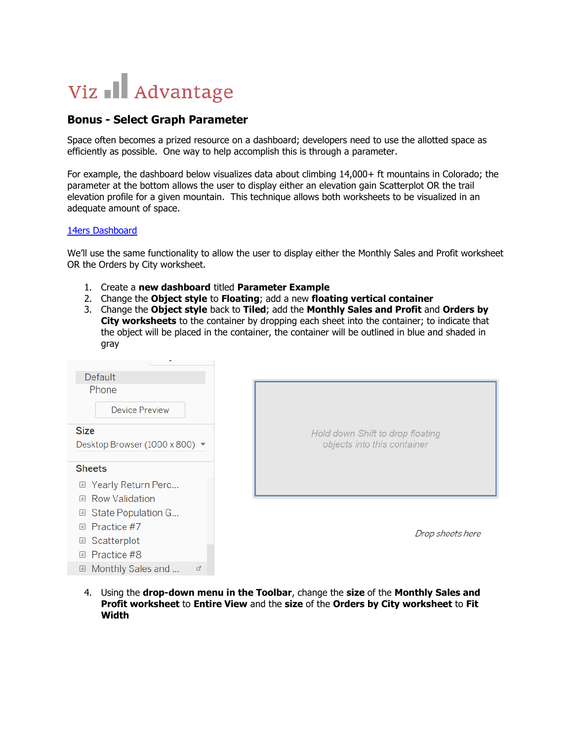## Viz Il Advantage

## **Bonus - Select Graph Parameter**

画 Monthly Sales and ... □

Space often becomes a prized resource on a dashboard; developers need to use the allotted space as efficiently as possible. One way to help accomplish this is through a parameter.

For example, the dashboard below visualizes data about climbing 14,000+ ft mountains in Colorado; the parameter at the bottom allows the user to display either an elevation gain Scatterplot OR the trail elevation profile for a given mountain. This technique allows both worksheets to be visualized in an adequate amount of space.

## [14ers Dashboard](https://public.tableau.com/shared/62P2P8X9Y?:display_count=yes)

We'll use the same functionality to allow the user to display either the Monthly Sales and Profit worksheet OR the Orders by City worksheet.

- 1. Create a **new dashboard** titled **Parameter Example**
- 2. Change the **Object style** to **Floating**; add a new **floating vertical container**
- 3. Change the **Object style** back to **Tiled**; add the **Monthly Sales and Profit** and **Orders by City worksheets** to the container by dropping each sheet into the container; to indicate that the object will be placed in the container, the container will be outlined in blue and shaded in gray

| <b>Default</b><br>Phone<br><b>Device Preview</b> |                                                                 |
|--------------------------------------------------|-----------------------------------------------------------------|
| <b>Size</b><br>Desktop Browser (1000 x 800) ▼    | Hold down Shift to drop floating<br>objects into this container |
| <b>Sheets</b><br><b>■ Yearly Return Perc</b>     |                                                                 |
| <b>Row Validation</b><br>$\sqrt{m}$              |                                                                 |
| <b>■ State Population G</b>                      |                                                                 |
| Practice #7<br>$\vert$ ill                       | Drop sheets here                                                |
| Scatterplot<br>$\boxed{\text{all}}$              |                                                                 |
| Practice #8<br>$\sqrt{d}$                        |                                                                 |

4. Using the **drop-down menu in the Toolbar**, change the **size** of the **Monthly Sales and Profit worksheet** to **Entire View** and the **size** of the **Orders by City worksheet** to **Fit Width**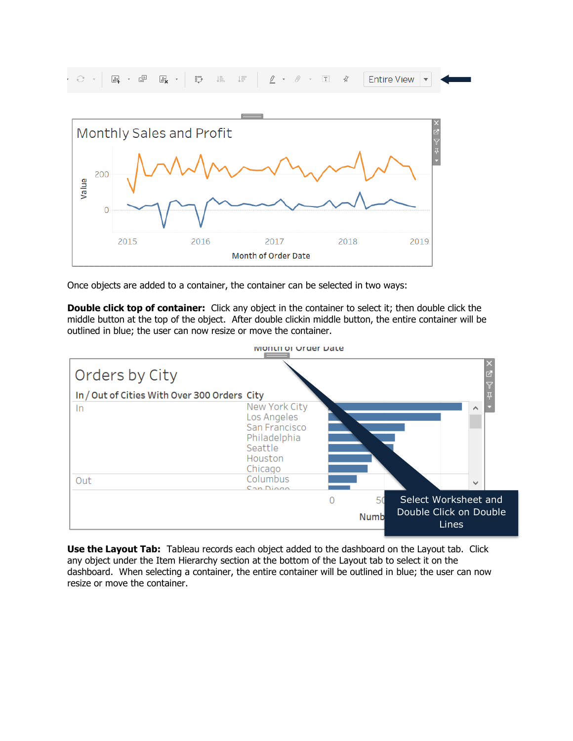



Once objects are added to a container, the container can be selected in two ways:

**Double click top of container:** Click any object in the container to select it; then double click the middle button at the top of the object. After double clickin middle button, the entire container will be outlined in blue; the user can now resize or move the container.



**Use the Layout Tab:** Tableau records each object added to the dashboard on the Layout tab. Click any object under the Item Hierarchy section at the bottom of the Layout tab to select it on the dashboard. When selecting a container, the entire container will be outlined in blue; the user can now resize or move the container.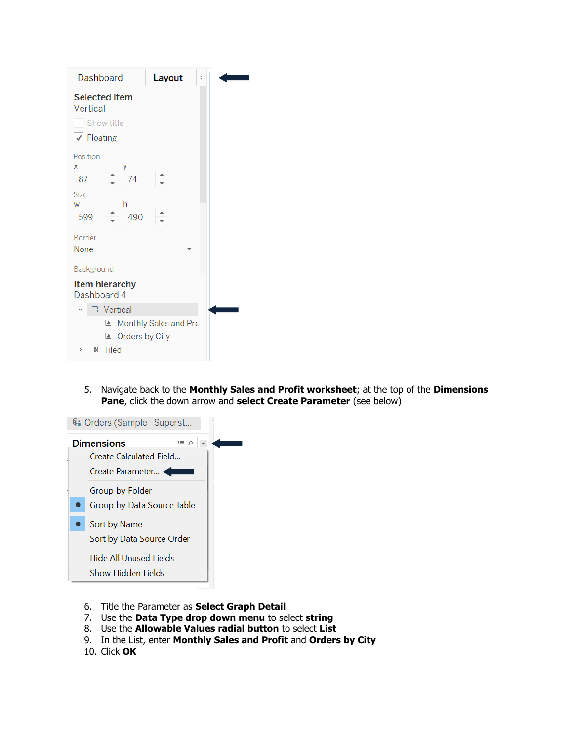| <b>Selected item</b><br>Vertical<br>Show title<br>√ Floating<br>Position<br>X<br>–<br>74<br>▲<br>87<br><b>Size</b><br>h<br>W<br>▲<br>490<br>599<br>Border<br>None<br>Background<br>Item hierarchy<br>Dashboard 4<br><b>吕</b> Vertical<br>Monthly Sales and Prc<br>$\boxed{\text{all}}$<br>Orders by City<br>$\Box$<br>Tiled<br>ΠR<br>$\,>\,$ | Dashboard | Layout | ÷ |
|----------------------------------------------------------------------------------------------------------------------------------------------------------------------------------------------------------------------------------------------------------------------------------------------------------------------------------------------|-----------|--------|---|
|                                                                                                                                                                                                                                                                                                                                              |           |        |   |
|                                                                                                                                                                                                                                                                                                                                              |           |        |   |
|                                                                                                                                                                                                                                                                                                                                              |           |        |   |
|                                                                                                                                                                                                                                                                                                                                              |           |        |   |

5. Navigate back to the **Monthly Sales and Profit worksheet**; at the top of the **Dimensions Pane**, click the down arrow and **select Create Parameter** (see below)



- 6. Title the Parameter as **Select Graph Detail**
- 7. Use the **Data Type drop down menu** to select **string**
- 8. Use the **Allowable Values radial button** to select **List**
- 9. In the List, enter **Monthly Sales and Profit** and **Orders by City**
- 10. Click **OK**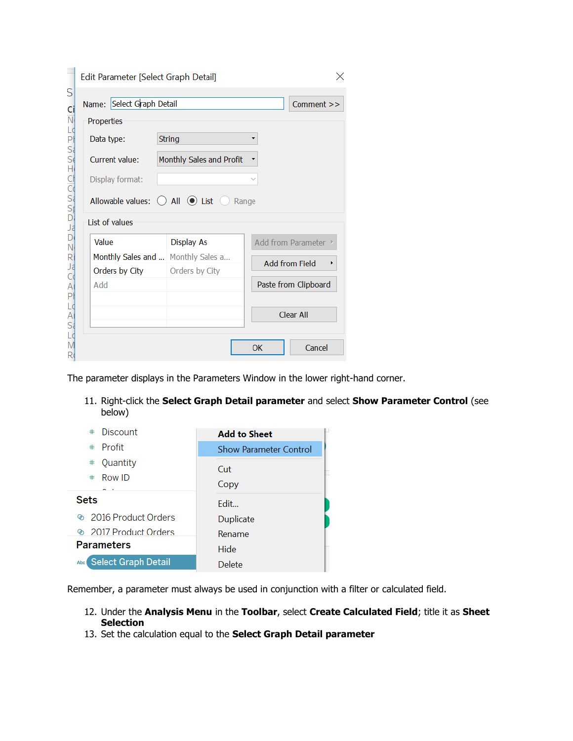|                         | Edit Parameter [Select Graph Detail]             |                          |       | ×                    |
|-------------------------|--------------------------------------------------|--------------------------|-------|----------------------|
| S<br>Ci                 | Name: Select Graph Detail                        |                          |       | Comment >>           |
| $\overline{\mathsf{N}}$ | Properties                                       |                          |       |                      |
|                         | Data type:                                       | <b>String</b>            |       |                      |
| にはぶなけひどぶけい              | Current value:                                   | Monthly Sales and Profit |       |                      |
|                         | Display format:                                  |                          |       |                      |
|                         | Allowable values: $\bigcirc$ All $\bigcirc$ List |                          | Range |                      |
|                         | List of values                                   |                          |       |                      |
| D                       | Value                                            | <b>Display As</b>        |       | Add from Parameter ▶ |
| N<br>R<br>Ja            | Monthly Sales and                                | Monthly Sales a          |       | Add from Field       |
|                         | Orders by City                                   | Orders by City           |       |                      |
| P                       | Add                                              |                          |       | Paste from Clipboard |
| A<br>Si                 |                                                  |                          |       | Clear All            |
|                         |                                                  |                          | OK    | Cancel               |

The parameter displays in the Parameters Window in the lower right-hand corner.

11. Right-click the **Select Graph Detail parameter** and select **Show Parameter Control** (see below)

| Discount<br>#           | <b>Add to Sheet</b>           |
|-------------------------|-------------------------------|
| Profit<br>#             | <b>Show Parameter Control</b> |
| Quantity<br>$\ast$      | Cut                           |
| $#$ Row ID              | Copy                          |
| <b>Sets</b>             | Fdit                          |
| to 2016 Product Orders  | Duplicate                     |
| to 2017 Product Orders  | Rename                        |
| <b>Parameters</b>       | Hide                          |
| Abc Select Graph Detail | Delete                        |

Remember, a parameter must always be used in conjunction with a filter or calculated field.

- 12. Under the **Analysis Menu** in the **Toolbar**, select **Create Calculated Field**; title it as **Sheet Selection**
- 13. Set the calculation equal to the **Select Graph Detail parameter**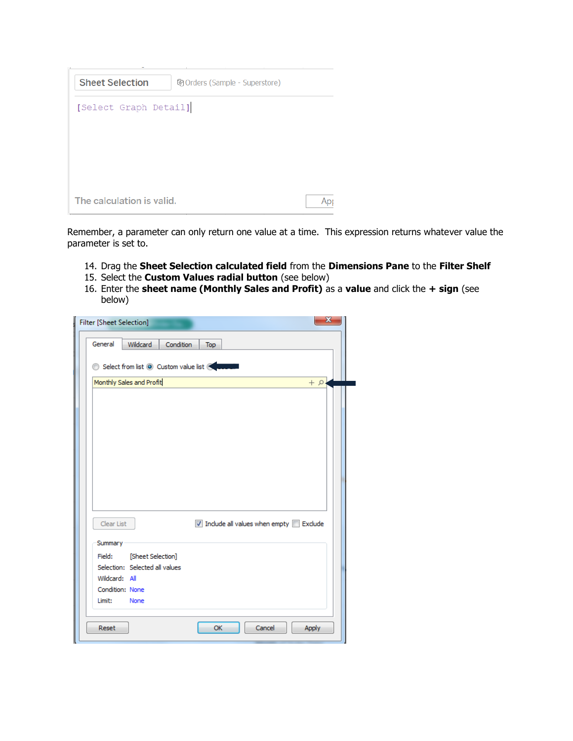| <b>Sheet Selection</b><br>崎 Orders (Sample - Superstore) |  |
|----------------------------------------------------------|--|
| [Select Graph Detail]                                    |  |
|                                                          |  |
|                                                          |  |
|                                                          |  |
| The calculation is valid.                                |  |

Remember, a parameter can only return one value at a time. This expression returns whatever value the parameter is set to.

- 14. Drag the **Sheet Selection calculated field** from the **Dimensions Pane** to the **Filter Shelf**
- 15. Select the **Custom Values radial button** (see below)
- 16. Enter the **sheet name (Monthly Sales and Profit)** as a **value** and click the **+ sign** (see below)

| х<br><b>Filter [Sheet Selection]</b>                                  |
|-----------------------------------------------------------------------|
| General<br>Wildcard<br>Condition<br>Top                               |
| Select from list © Custom value list & Court                          |
| Monthly Sales and Profit<br>$\alpha$ +                                |
|                                                                       |
| Clear List<br>$\sqrt{ }$ Include all values when empty $\Box$ Exclude |
| Summary                                                               |
| [Sheet Selection]<br>Field:                                           |
| Selection: Selected all values<br>Wildcard: All                       |
| Condition: None                                                       |
| Limit:<br>None                                                        |
| Reset<br>Cancel<br><b>OK</b><br><b>Apply</b>                          |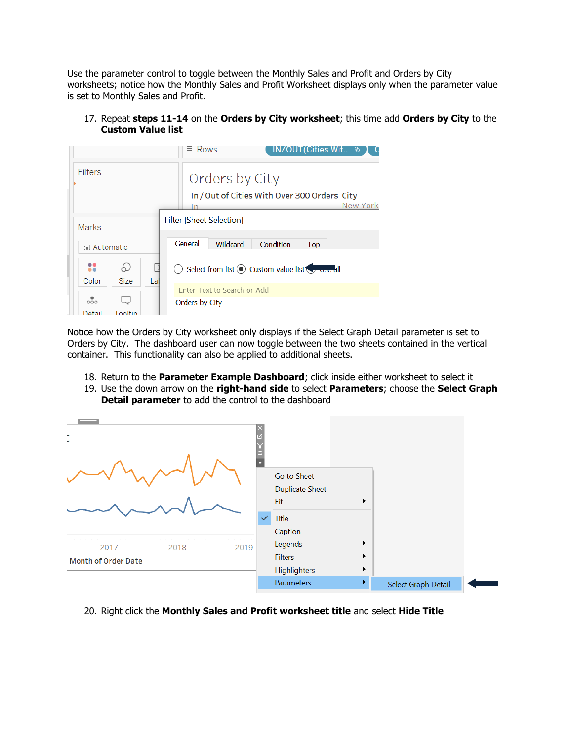Use the parameter control to toggle between the Monthly Sales and Profit and Orders by City worksheets; notice how the Monthly Sales and Profit Worksheet displays only when the parameter value is set to Monthly Sales and Profit.

17. Repeat **steps 11-14** on the **Orders by City worksheet**; this time add **Orders by City** to the **Custom Value list**



Notice how the Orders by City worksheet only displays if the Select Graph Detail parameter is set to Orders by City. The dashboard user can now toggle between the two sheets contained in the vertical container. This functionality can also be applied to additional sheets.

- 18. Return to the **Parameter Example Dashboard**; click inside either worksheet to select it
- 19. Use the down arrow on the **right-hand side** to select **Parameters**; choose the **Select Graph Detail parameter** to add the control to the dashboard



20. Right click the **Monthly Sales and Profit worksheet title** and select **Hide Title**